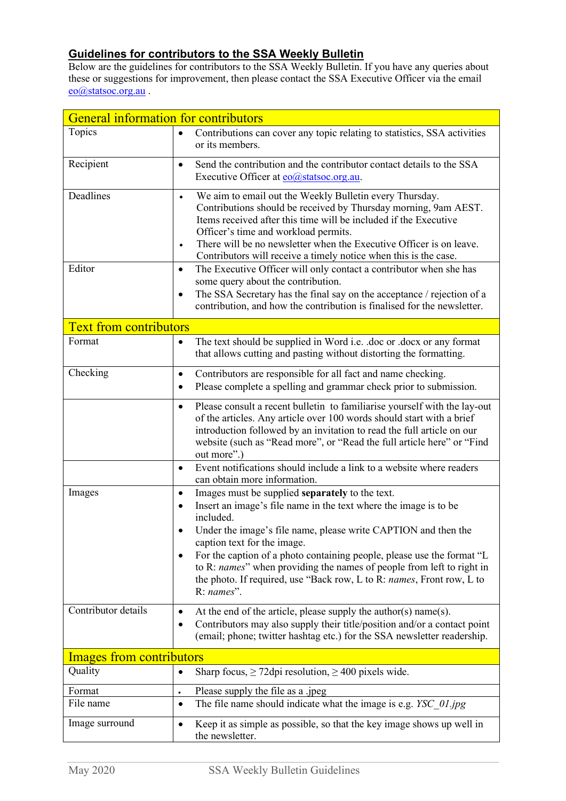## **Guidelines for contributors to the SSA Weekly Bulletin**

Below are the guidelines for contributors to the SSA Weekly Bulletin. If you have any queries about these or suggestions for improvement, then please contact the SSA Executive Officer via the email [eo@statsoc.org.au](mailto:eo@statsoc.org.au) .

| <b>General information for contributors</b> |                                                                                                                                                                                                                                                                                                                                                                                                                                                                                               |  |
|---------------------------------------------|-----------------------------------------------------------------------------------------------------------------------------------------------------------------------------------------------------------------------------------------------------------------------------------------------------------------------------------------------------------------------------------------------------------------------------------------------------------------------------------------------|--|
| Topics                                      | Contributions can cover any topic relating to statistics, SSA activities<br>$\bullet$<br>or its members.                                                                                                                                                                                                                                                                                                                                                                                      |  |
| Recipient                                   | Send the contribution and the contributor contact details to the SSA<br>$\bullet$<br>Executive Officer at $\frac{e}{\omega}$ statsoc.org.au.                                                                                                                                                                                                                                                                                                                                                  |  |
| Deadlines                                   | We aim to email out the Weekly Bulletin every Thursday.<br>$\bullet$<br>Contributions should be received by Thursday morning, 9am AEST.<br>Items received after this time will be included if the Executive<br>Officer's time and workload permits.<br>There will be no newsletter when the Executive Officer is on leave.<br>$\bullet$<br>Contributors will receive a timely notice when this is the case.                                                                                   |  |
| Editor                                      | The Executive Officer will only contact a contributor when she has<br>$\bullet$<br>some query about the contribution.<br>The SSA Secretary has the final say on the acceptance / rejection of a<br>٠<br>contribution, and how the contribution is finalised for the newsletter.                                                                                                                                                                                                               |  |
| <b>Text from contributors</b>               |                                                                                                                                                                                                                                                                                                                                                                                                                                                                                               |  |
| Format                                      | The text should be supplied in Word i.e. .doc or .docx or any format<br>٠<br>that allows cutting and pasting without distorting the formatting.                                                                                                                                                                                                                                                                                                                                               |  |
| Checking                                    | Contributors are responsible for all fact and name checking.<br>$\bullet$<br>Please complete a spelling and grammar check prior to submission.<br>$\bullet$                                                                                                                                                                                                                                                                                                                                   |  |
|                                             | Please consult a recent bulletin to familiarise yourself with the lay-out<br>$\bullet$<br>of the articles. Any article over 100 words should start with a brief<br>introduction followed by an invitation to read the full article on our<br>website (such as "Read more", or "Read the full article here" or "Find<br>out more".)                                                                                                                                                            |  |
|                                             | Event notifications should include a link to a website where readers<br>$\bullet$<br>can obtain more information.                                                                                                                                                                                                                                                                                                                                                                             |  |
| Images                                      | Images must be supplied separately to the text.<br>$\bullet$<br>Insert an image's file name in the text where the image is to be<br>٠<br>included.<br>Under the image's file name, please write CAPTION and then the<br>caption text for the image.<br>For the caption of a photo containing people, please use the format "L<br>to R: names" when providing the names of people from left to right in<br>the photo. If required, use "Back row, L to R: names, Front row, L to<br>R: names". |  |
| Contributor details                         | At the end of the article, please supply the author(s) name(s).<br>٠<br>Contributors may also supply their title/position and/or a contact point<br>٠<br>(email; phone; twitter hashtag etc.) for the SSA newsletter readership.                                                                                                                                                                                                                                                              |  |
| <b>Images from contributors</b>             |                                                                                                                                                                                                                                                                                                                                                                                                                                                                                               |  |
| Quality                                     | Sharp focus, $\geq$ 72 dpi resolution, $\geq$ 400 pixels wide.<br>٠                                                                                                                                                                                                                                                                                                                                                                                                                           |  |
| Format                                      | Please supply the file as a .jpeg<br>$\bullet$                                                                                                                                                                                                                                                                                                                                                                                                                                                |  |
| File name                                   | The file name should indicate what the image is e.g. YSC 01.jpg<br>$\bullet$                                                                                                                                                                                                                                                                                                                                                                                                                  |  |
| Image surround                              | Keep it as simple as possible, so that the key image shows up well in<br>٠<br>the newsletter.                                                                                                                                                                                                                                                                                                                                                                                                 |  |